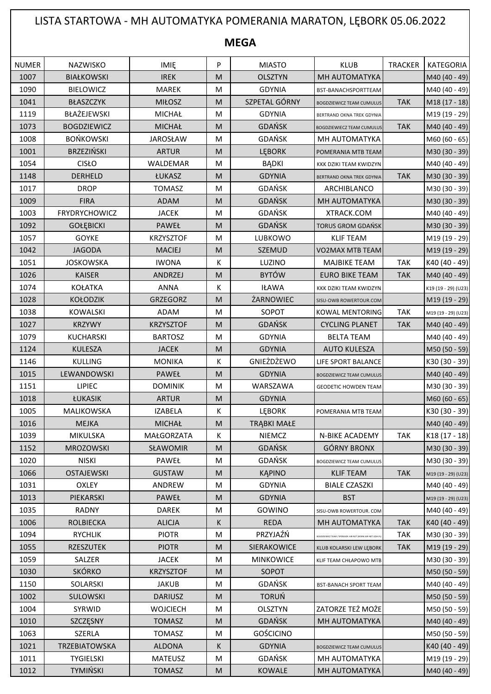## LISTA STARTOWA - MH AUTOMATYKA POMERANIA MARATON, LĘBORK 05.06.2022

**MEGA**

| <b>NUMER</b> | NAZWISKO             | <b>IMIE</b>      | P                                                                                     | <b>MIASTO</b>    | <b>KLUB</b>                                           | <b>TRACKER</b> | <b>KATEGORIA</b>    |
|--------------|----------------------|------------------|---------------------------------------------------------------------------------------|------------------|-------------------------------------------------------|----------------|---------------------|
| 1007         | <b>BIAŁKOWSKI</b>    | <b>IREK</b>      | M                                                                                     | <b>OLSZTYN</b>   | MH AUTOMATYKA                                         |                | M40 (40 - 49)       |
| 1090         | <b>BIELOWICZ</b>     | <b>MAREK</b>     | M                                                                                     | <b>GDYNIA</b>    | BST-BANACHSPORTTEAM                                   |                | M40 (40 - 49)       |
| 1041         | <b>BŁASZCZYK</b>     | <b>MIŁOSZ</b>    | M                                                                                     | SZPETAL GÓRNY    | <b>BOGDZIEWICZ TEAM CUMULUS</b>                       | <b>TAK</b>     | M18 (17 - 18)       |
| 1119         | BŁAŻEJEWSKI          | <b>MICHAŁ</b>    | M                                                                                     | <b>GDYNIA</b>    | BERTRAND OKNA TREK GDYNIA                             |                | M19 (19 - 29)       |
| 1073         | <b>BOGDZIEWICZ</b>   | <b>MICHAŁ</b>    | M                                                                                     | <b>GDAŃSK</b>    | <b>BOGDZIEWIECZ TEAM CUMULUS</b>                      | <b>TAK</b>     | M40 (40 - 49)       |
| 1008         | <b>BOŃKOWSKI</b>     | <b>JAROSŁAW</b>  | ${\sf M}$                                                                             | GDAŃSK           | MH AUTOMATYKA                                         |                | M60 (60 - 65)       |
| 1001         | <b>BRZEZIŃSKI</b>    | <b>ARTUR</b>     | M                                                                                     | <b>LEBORK</b>    | POMERANIA MTB TEAM                                    |                | M30 (30 - 39)       |
| 1054         | <b>CISŁO</b>         | WALDEMAR         | M                                                                                     | <b>BĄDKI</b>     | KKK DZIKI TEAM KWIDZYN                                |                | M40 (40 - 49)       |
| 1148         | DERHELD              | ŁUKASZ           | M                                                                                     | <b>GDYNIA</b>    | BERTRAND OKNA TREK GDYNIA                             | <b>TAK</b>     | M30 (30 - 39)       |
| 1017         | <b>DROP</b>          | <b>TOMASZ</b>    | M                                                                                     | GDAŃSK           | ARCHIBLANCO                                           |                | M30 (30 - 39)       |
| 1009         | <b>FIRA</b>          | <b>ADAM</b>      | M                                                                                     | <b>GDAŃSK</b>    | MH AUTOMATYKA                                         |                | M30 (30 - 39)       |
| 1003         | <b>FRYDRYCHOWICZ</b> | <b>JACEK</b>     | M                                                                                     | <b>GDAŃSK</b>    | XTRACK.COM                                            |                | M40 (40 - 49)       |
| 1092         | <b>GOŁĘBICKI</b>     | <b>PAWEŁ</b>     | M                                                                                     | <b>GDAŃSK</b>    | <b>TORUS GROM GDAŃSK</b>                              |                | M30 (30 - 39)       |
| 1057         | <b>GOYKE</b>         | <b>KRZYSZTOF</b> | M                                                                                     | LUBKOWO          | <b>KLIF TEAM</b>                                      |                | M19 (19 - 29)       |
| 1042         | <b>JAGODA</b>        | <b>MACIEJ</b>    | M                                                                                     | <b>SZEMUD</b>    | <b>VO2MAX MTB TEAM</b>                                |                | M19 (19 - 29)       |
| 1051         | <b>JOSKOWSKA</b>     | <b>IWONA</b>     | К                                                                                     | LUZINO           | MAJBIKE TEAM                                          | <b>TAK</b>     | K40 (40 - 49)       |
| 1026         | <b>KAISER</b>        | <b>ANDRZEJ</b>   | M                                                                                     | <b>BYTÓW</b>     | <b>EURO BIKE TEAM</b>                                 | <b>TAK</b>     | M40 (40 - 49)       |
| 1074         | <b>KOŁATKA</b>       | <b>ANNA</b>      | К                                                                                     | <b>IŁAWA</b>     | KKK DZIKI TEAM KWIDZYN                                |                | K19 (19 - 29) (U23) |
| 1028         | <b>KOŁODZIK</b>      | GRZEGORZ         | M                                                                                     | ŻARNOWIEC        | SISU-OWB ROWERTOUR.COM                                |                | M19 (19 - 29)       |
| 1038         | <b>KOWALSKI</b>      | <b>ADAM</b>      | M                                                                                     | SOPOT            | KOWAL MENTORING                                       | <b>TAK</b>     | M19 (19 - 29) (U23) |
| 1027         | <b>KRZYWY</b>        | <b>KRZYSZTOF</b> | M                                                                                     | <b>GDAŃSK</b>    | <b>CYCLING PLANET</b>                                 | <b>TAK</b>     | M40 (40 - 49)       |
| 1079         | <b>KUCHARSKI</b>     | <b>BARTOSZ</b>   | M                                                                                     | <b>GDYNIA</b>    | <b>BELTA TEAM</b>                                     |                | M40 (40 - 49)       |
| 1124         | <b>KULESZA</b>       | <b>JACEK</b>     | $\mathsf{M}% _{T}=\mathsf{M}_{T}\!\left( a,b\right) ,\ \mathsf{M}_{T}=\mathsf{M}_{T}$ | <b>GDYNIA</b>    | <b>AUTO KULESZA</b>                                   |                | M50 (50 - 59)       |
| 1146         | <b>KULLING</b>       | <b>MONIKA</b>    | К                                                                                     | GNIEŻDŻEWO       | LIFE SPORT BALANCE                                    |                | K30 (30 - 39)       |
| 1015         | LEWANDOWSKI          | PAWEŁ            | M                                                                                     | <b>GDYNIA</b>    | <b>BOGDZIEWICZ TEAM CUMULUS</b>                       |                | M40 (40 - 49)       |
| 1151         | <b>LIPIEC</b>        | <b>DOMINIK</b>   | M                                                                                     | WARSZAWA         | <b>GEODETIC HOWDEN TEAM</b>                           |                | M30 (30 - 39)       |
| 1018         | ŁUKASIK              | <b>ARTUR</b>     | $\mathsf{M}% _{T}=\mathsf{M}_{T}\!\left( a,b\right) ,\ \mathsf{M}_{T}=\mathsf{M}_{T}$ | <b>GDYNIA</b>    |                                                       |                | M60 (60 - 65)       |
| 1005         | MALIKOWSKA           | <b>IZABELA</b>   | К                                                                                     | LĘBORK           | POMERANIA MTB TEAM                                    |                | K30 (30 - 39)       |
| 1016         | <b>MEJKA</b>         | <b>MICHAŁ</b>    | ${\sf M}$                                                                             | TRĄBKI MAŁE      |                                                       |                | M40 (40 - 49)       |
| 1039         | MIKULSKA             | MAŁGORZATA       | K                                                                                     | NIEMCZ           | N-BIKE ACADEMY                                        | TAK            | K18 (17 - 18)       |
| 1152         | <b>MROZOWSKI</b>     | SŁAWOMIR         | ${\sf M}$                                                                             | GDAŃSK           | <b>GÓRNY BRONX</b>                                    |                | M30 (30 - 39)       |
| 1020         | <b>NISKI</b>         | PAWEŁ            | M                                                                                     | <b>GDAŃSK</b>    | <b>BOGDZIEWICZ TEAM CUMULUS</b>                       |                | M30 (30 - 39)       |
| 1066         | <b>OSTAJEWSKI</b>    | <b>GUSTAW</b>    | M                                                                                     | <b>KĄPINO</b>    | <b>KLIF TEAM</b>                                      | <b>TAK</b>     | M19 (19 - 29) (U23) |
| 1031         | <b>OXLEY</b>         | ANDREW           | M                                                                                     | <b>GDYNIA</b>    | <b>BIALE CZASZKI</b>                                  |                | M40 (40 - 49)       |
| 1013         | PIEKARSKI            | PAWEŁ            | M                                                                                     | <b>GDYNIA</b>    | <b>BST</b>                                            |                | M19 (19 - 29) (U23) |
| 1035         | RADNY                | <b>DAREK</b>     | M                                                                                     | GOWINO           | SISU-OWB ROWERTOUR. COM                               |                | M40 (40 - 49)       |
| 1006         | <b>ROLBIECKA</b>     | <b>ALICJA</b>    | K                                                                                     | <b>REDA</b>      | MH AUTOMATYKA                                         | <b>TAK</b>     | K40 (40 - 49)       |
| 1094         | <b>RYCHLIK</b>       | <b>PIOTR</b>     | M                                                                                     | PRZYJAŹŃ         | OGDZIEWICZ TEAM / SPONSOR: AIR-NET (WWW.AIR-NET.GDA.P | <b>TAK</b>     | M30 (30 - 39)       |
| 1055         | <b>RZESZUTEK</b>     | <b>PIOTR</b>     | M                                                                                     | SIERAKOWICE      | KLUB KOLARSKI LEW LĘBORK                              | <b>TAK</b>     | M19 (19 - 29)       |
| 1059         | SALZER               | <b>JACEK</b>     | M                                                                                     | <b>MINKOWICE</b> | KLIF TEAM CHŁAPOWO MTB                                |                | M30 (30 - 39)       |
| 1030         | <b>SKÓRKO</b>        | <b>KRZYSZTOF</b> | ${\sf M}$                                                                             | SOPOT            |                                                       |                | M50 (50 - 59)       |
| 1150         | SOLARSKI             | <b>JAKUB</b>     | M                                                                                     | <b>GDAŃSK</b>    | <b>BST-BANACH SPORT TEAM</b>                          |                | M40 (40 - 49)       |
| 1002         | <b>SULOWSKI</b>      | <b>DARIUSZ</b>   | M                                                                                     | <b>TORUŃ</b>     |                                                       |                | M50 (50 - 59)       |
| 1004         | SYRWID               | <b>WOJCIECH</b>  | M                                                                                     | OLSZTYN          | ZATORZE TEŻ MOŻE                                      |                | M50 (50 - 59)       |
| 1010         | SZCZĘSNY             | <b>TOMASZ</b>    | M                                                                                     | GDAŃSK           | MH AUTOMATYKA                                         |                | M40 (40 - 49)       |
| 1063         | <b>SZERLA</b>        | <b>TOMASZ</b>    | M                                                                                     | <b>GOŚCICINO</b> |                                                       |                | M50 (50 - 59)       |
| 1021         | TRZEBIATOWSKA        | <b>ALDONA</b>    | K                                                                                     | <b>GDYNIA</b>    | <b>BOGDZIEWICZ TEAM CUMULUS</b>                       |                | K40 (40 - 49)       |
| 1011         | <b>TYGIELSKI</b>     | <b>MATEUSZ</b>   | M                                                                                     | GDAŃSK           | MH AUTOMATYKA                                         |                | M19 (19 - 29)       |
| 1012         | <b>TYMIŃSKI</b>      | <b>TOMASZ</b>    | M                                                                                     | <b>KOWALE</b>    | MH AUTOMATYKA                                         |                | M40 (40 - 49)       |